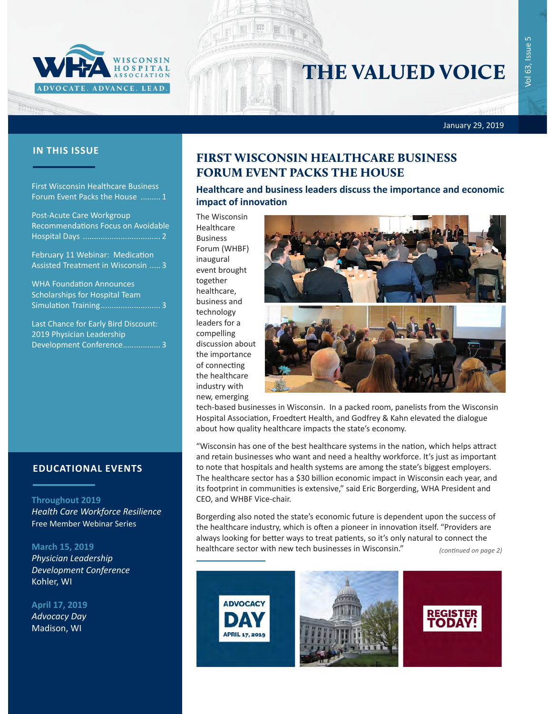

# THE VALUED VOICE

Vol 63, Issue 5 Issue 63,  $\overline{Q}$ 

۱

January 29, 2019

### **IN THIS ISSUE**

Frances

First Wisconsin Healthcare Business Forum Event Packs the House ......... 1

[Post-Acute Care Workgroup](#page-1-0)  [Recommendations Focus on Avoidable](#page-1-0)  [Hospital Days ...................................](#page-1-0) 2

[February 11 Webinar: Medication](#page-2-0)  [Assisted Treatment in Wisconsin .....](#page-2-0) 3

[WHA Foundation Announces](#page-2-0)  [Scholarships for Hospital Team](#page-2-0)  [Simulation Training](#page-2-0)................................. 3

[Last Chance for Early Bird Discount:](#page-2-0)  [2019 Physician Leadership](#page-2-0)  [Development Conference.................](#page-2-0) 3

#### **EDUCATIONAL EVENTS**

#### **Throughout 2019**

*[Health Care Workforce Resilience](http://www.whareg4.org/WorkforceResilience/)* Free Member Webinar Series

#### **March 15, 2019**

*[Physician Leadership](http://www.cvent.com/events/19l-pldc-03-15-16/event-summary-cce6c95196974bcc87660b15b6e87c43.aspx)  [Development Conference](http://www.cvent.com/events/19l-pldc-03-15-16/event-summary-cce6c95196974bcc87660b15b6e87c43.aspx)* Kohler, WI

#### **April 17, 2019**

*[Advocacy Day](http://www.whareg4.org/AdvocacyDay2019/)* Madison, WI

### FIRST WISCONSIN HEALTHCARE BUSINESS FORUM EVENT PACKS THE HOUSE

**Healthcare and business leaders discuss the importance and economic impact of innovation** 

The Wisconsin Healthcare Business Forum (WHBF) inaugural event brought together healthcare, business and technology leaders for a compelling discussion about the importance of connecting the healthcare industry with new, emerging



tech-based businesses in Wisconsin. In a packed room, panelists from the Wisconsin Hospital Association, Froedtert Health, and Godfrey & Kahn elevated the dialogue about how quality healthcare impacts the state's economy.

"Wisconsin has one of the best healthcare systems in the nation, which helps attract and retain businesses who want and need a healthy workforce. It's just as important to note that hospitals and health systems are among the state's biggest employers. The healthcare sector has a \$30 billion economic impact in Wisconsin each year, and its footprint in communities is extensive," said Eric Borgerding, WHA President and CEO, and WHBF Vice-chair.

Borgerding also noted the state's economic future is dependent upon the success of the healthcare industry, which is often a pioneer in innovation itself. "Providers are always looking for better ways to treat patients, so it's only natural to connect the healthcare sector with new tech businesses in Wisconsin." *(continued on page 2)*

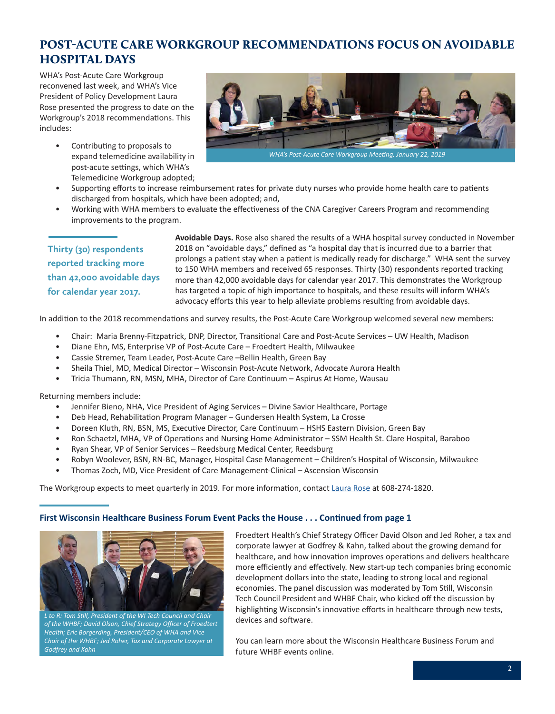# <span id="page-1-0"></span>POST-ACUTE CARE WORKGROUP RECOMMENDATIONS FOCUS ON AVOIDABLE HOSPITAL DAYS

WHA's Post-Acute Care Workgroup reconvened last week, and WHA's Vice President of Policy Development Laura Rose presented the progress to date on the Workgroup's 2018 recommendations. This includes:

> • Contributing to proposals to expand telemedicine availability in post-acute settings, which WHA's Telemedicine Workgroup adopted;



• Supporting efforts to increase reimbursement rates for private duty nurses who provide home health care to patients discharged from hospitals, which have been adopted; and,

• Working with WHA members to evaluate the effectiveness of the CNA Caregiver Careers Program and recommending improvements to the program.

**Thirty (30) respondents reported tracking more than 42,000 avoidable days for calendar year 2017.**

**Avoidable Days.** Rose also shared the results of a WHA hospital survey conducted in November 2018 on "avoidable days," defined as "a hospital day that is incurred due to a barrier that prolongs a patient stay when a patient is medically ready for discharge." WHA sent the survey to 150 WHA members and received 65 responses. Thirty (30) respondents reported tracking more than 42,000 avoidable days for calendar year 2017. This demonstrates the Workgroup has targeted a topic of high importance to hospitals, and these results will inform WHA's advocacy efforts this year to help alleviate problems resulting from avoidable days.

In addition to the 2018 recommendations and survey results, the Post-Acute Care Workgroup welcomed several new members:

- Chair: Maria Brenny-Fitzpatrick, DNP, Director, Transitional Care and Post-Acute Services UW Health, Madison
- Diane Ehn, MS, Enterprise VP of Post-Acute Care Froedtert Health, Milwaukee
- Cassie Stremer, Team Leader, Post-Acute Care –Bellin Health, Green Bay
- Sheila Thiel, MD, Medical Director Wisconsin Post-Acute Network, Advocate Aurora Health
- Tricia Thumann, RN, MSN, MHA, Director of Care Continuum Aspirus At Home, Wausau

Returning members include:

- Jennifer Bieno, NHA, Vice President of Aging Services Divine Savior Healthcare, Portage
- Deb Head, Rehabilitation Program Manager Gundersen Health System, La Crosse
- Doreen Kluth, RN, BSN, MS, Executive Director, Care Continuum HSHS Eastern Division, Green Bay
- Ron Schaetzl, MHA, VP of Operations and Nursing Home Administrator SSM Health St. Clare Hospital, Baraboo
- Ryan Shear, VP of Senior Services Reedsburg Medical Center, Reedsburg
- Robyn Woolever, BSN, RN-BC, Manager, Hospital Case Management Children's Hospital of Wisconsin, Milwaukee
- Thomas Zoch, MD, Vice President of Care Management-Clinical Ascension Wisconsin

The Workgroup expects to meet quarterly in 2019. For more information, contact [Laura Rose](mailto:lrose@wha.org) at 608-274-1820.

#### **First Wisconsin Healthcare Business Forum Event Packs the House . . . Continued from page 1**



*L to R: Tom Still, President of the WI Tech Council and Chair of the WHBF; David Olson, Chief Strategy Officer of Froedtert Health; Eric Borgerding, President/CEO of WHA and Vice Chair of the WHBF; Jed Roher, Tax and Corporate Lawyer at Godfrey and Kahn*

Froedtert Health's Chief Strategy Officer David Olson and Jed Roher, a tax and corporate lawyer at Godfrey & Kahn, talked about the growing demand for healthcare, and how innovation improves operations and delivers healthcare more efficiently and effectively. New start-up tech companies bring economic development dollars into the state, leading to strong local and regional economies. The panel discussion was moderated by Tom Still, Wisconsin Tech Council President and WHBF Chair, who kicked off the discussion by highlighting Wisconsin's innovative efforts in healthcare through new tests, devices and software.

You can learn more about the Wisconsin Healthcare Business Forum and future WHBF events online.